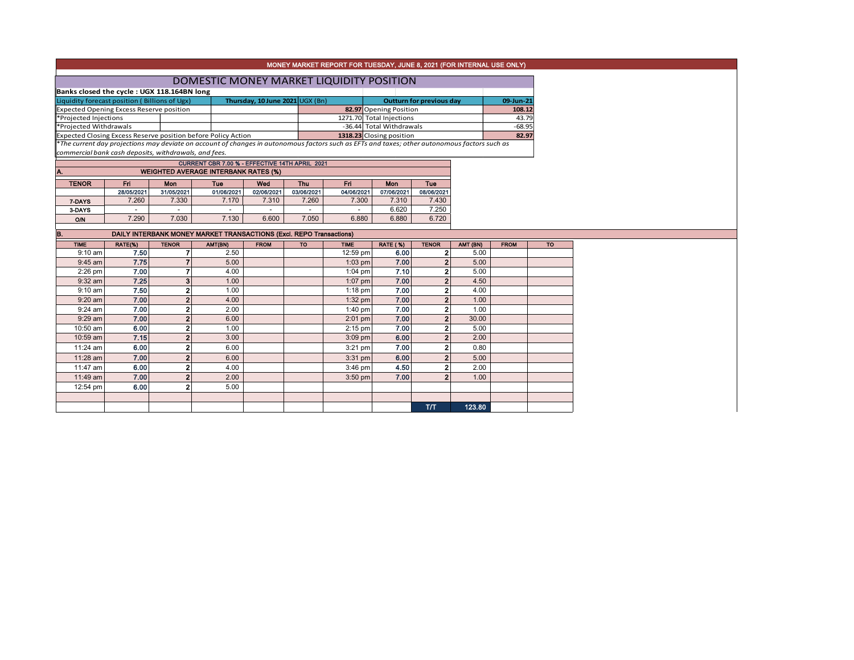|                                                 | MONEY MARKET REPORT FOR TUESDAY, JUNE 8, 2021 (FOR INTERNAL USE ONLY) |                         |                                                                                                                                               |                                 |                |                        |                                 |                         |           |             |  |  |
|-------------------------------------------------|-----------------------------------------------------------------------|-------------------------|-----------------------------------------------------------------------------------------------------------------------------------------------|---------------------------------|----------------|------------------------|---------------------------------|-------------------------|-----------|-------------|--|--|
| DOMESTIC MONEY MARKET LIQUIDITY POSITION        |                                                                       |                         |                                                                                                                                               |                                 |                |                        |                                 |                         |           |             |  |  |
| Banks closed the cycle : UGX 118.164BN long     |                                                                       |                         |                                                                                                                                               |                                 |                |                        |                                 |                         |           |             |  |  |
|                                                 | Liquidity forecast position (Billions of Ugx)                         |                         |                                                                                                                                               | Thursday, 10 June 2021 UGX (Bn) |                |                        | <b>Outturn for previous day</b> |                         | 09-Jun-21 |             |  |  |
| <b>Expected Opening Excess Reserve position</b> |                                                                       |                         |                                                                                                                                               |                                 |                | 82.97 Opening Position |                                 | 108.12                  |           |             |  |  |
| *Projected Injections                           |                                                                       |                         |                                                                                                                                               |                                 |                |                        | 1271.70 Total Injections        |                         |           | 43.79       |  |  |
| *Projected Withdrawals                          |                                                                       |                         |                                                                                                                                               |                                 |                |                        | -36.44 Total Withdrawals        |                         | $-68.95$  |             |  |  |
|                                                 |                                                                       |                         | Expected Closing Excess Reserve position before Policy Action                                                                                 |                                 |                |                        | 1318.23 Closing position        |                         |           | 82.97       |  |  |
|                                                 |                                                                       |                         | *The current day projections may deviate on account of changes in autonomous factors such as EFTs and taxes; other autonomous factors such as |                                 |                |                        |                                 |                         |           |             |  |  |
|                                                 | commercial bank cash deposits, withdrawals, and fees.                 |                         |                                                                                                                                               |                                 |                |                        |                                 |                         |           |             |  |  |
|                                                 |                                                                       |                         | CURRENT CBR 7.00 % - EFFECTIVE 14TH APRIL 2021                                                                                                |                                 |                |                        |                                 |                         |           |             |  |  |
| A.                                              |                                                                       |                         | <b>WEIGHTED AVERAGE INTERBANK RATES (%)</b>                                                                                                   |                                 |                |                        |                                 |                         |           |             |  |  |
| <b>TENOR</b>                                    | Fri                                                                   | Mon                     | Tue                                                                                                                                           | Wed                             | Thu            | Fri.                   | Mon                             | Tue                     |           |             |  |  |
|                                                 | 28/05/2021                                                            | 31/05/2021              | 01/06/2021                                                                                                                                    | 02/06/2021                      | 03/06/2021     | 04/06/2021             | 07/06/2021                      | 08/06/2021              |           |             |  |  |
| 7-DAYS                                          | 7.260                                                                 | 7.330                   | 7.170                                                                                                                                         | 7.310                           | 7.260          | 7.300                  | 7.310                           | 7.430                   |           |             |  |  |
| 3-DAYS                                          | $\omega$                                                              | $\blacksquare$          | $\sim$                                                                                                                                        | $\overline{a}$                  | $\overline{a}$ | $\sim$                 | 6.620                           | 7.250                   |           |             |  |  |
| O/N                                             | 7.290                                                                 | 7.030                   | 7.130                                                                                                                                         | 6.600                           | 7.050          | 6.880                  | 6.880                           | 6.720                   |           |             |  |  |
| IB.                                             |                                                                       |                         | <b>DAILY INTERBANK MONEY MARKET TRANSACTIONS (Excl. REPO Transactions)</b>                                                                    |                                 |                |                        |                                 |                         |           |             |  |  |
| <b>TIME</b>                                     | RATE(%)                                                               | <b>TENOR</b>            | AMT(BN)                                                                                                                                       | <b>FROM</b>                     | <b>TO</b>      | <b>TIME</b>            | <b>RATE (%)</b>                 | <b>TENOR</b>            | AMT (BN)  | <b>FROM</b> |  |  |
| $9:10$ am                                       | 7.50                                                                  | 7                       | 2.50                                                                                                                                          |                                 |                | 12:59 pm               | 6.00                            | $\mathbf{2}$            | 5.00      |             |  |  |
| $9:45$ am                                       | 7.75                                                                  | $\overline{7}$          | 5.00                                                                                                                                          |                                 |                | $1:03$ pm              | 7.00                            | $\overline{2}$          | 5.00      |             |  |  |
| $2:26$ pm                                       | 7.00                                                                  | 7                       | 4.00                                                                                                                                          |                                 |                | $1:04$ pm              | 7.10                            | $\overline{\mathbf{2}}$ | 5.00      |             |  |  |
| $9:32$ am                                       |                                                                       |                         |                                                                                                                                               |                                 |                |                        |                                 |                         |           |             |  |  |
|                                                 | 7.25                                                                  | 3                       | 1.00                                                                                                                                          |                                 |                | $1:07$ pm              | 7.00                            | $\overline{2}$          | 4.50      |             |  |  |
| $9:10$ am                                       | 7.50                                                                  | $\overline{\mathbf{2}}$ | 1.00                                                                                                                                          |                                 |                | $1:18$ pm              | 7.00                            | $\overline{2}$          | 4.00      |             |  |  |
| $9:20$ am                                       | 7.00                                                                  | $\mathbf 2$             | 4.00                                                                                                                                          |                                 |                | $1:32$ pm              | 7.00                            | $\overline{\mathbf{2}}$ | 1.00      |             |  |  |
| $9:24$ am                                       | 7.00                                                                  | $\overline{2}$          | 2.00                                                                                                                                          |                                 |                | $1:40$ pm              | 7.00                            | $\overline{\mathbf{2}}$ | 1.00      |             |  |  |
| $9:29$ am                                       | 7.00                                                                  | $\overline{2}$          | 6.00                                                                                                                                          |                                 |                | $2:01$ pm              | 7.00                            | $\overline{2}$          | 30.00     |             |  |  |
| 10:50 am                                        | 6.00                                                                  | $\overline{2}$          | 1.00                                                                                                                                          |                                 |                | $2:15$ pm              | 7.00                            | $\overline{2}$          | 5.00      |             |  |  |
| 10:59 am                                        | 7.15                                                                  | $\overline{2}$          | 3.00                                                                                                                                          |                                 |                | $3:09$ pm              | 6.00                            | $\overline{2}$          | 2.00      |             |  |  |
| 11:24 am                                        | 6.00                                                                  | $\overline{2}$          | 6.00                                                                                                                                          |                                 |                | $3:21$ pm              | 7.00                            | $\overline{\mathbf{2}}$ | 0.80      |             |  |  |
| 11:28 am                                        | 7.00                                                                  | $\overline{2}$          | 6.00                                                                                                                                          |                                 |                | $3:31$ pm              | 6.00                            | $\overline{2}$          | 5.00      |             |  |  |
| 11:47 am                                        | 6.00                                                                  | $\overline{2}$          | 4.00                                                                                                                                          |                                 |                | $3:46$ pm              | 4.50                            | $\overline{2}$          | 2.00      |             |  |  |
| 11:49 am                                        | 7.00                                                                  | $\overline{2}$          | 2.00                                                                                                                                          |                                 |                | $3:50$ pm              | 7.00                            | $\mathbf{2}$            | 1.00      |             |  |  |
| 12:54 pm                                        | 6.00                                                                  | $\mathbf{2}$            | 5.00                                                                                                                                          |                                 |                |                        |                                 |                         |           |             |  |  |
|                                                 |                                                                       |                         |                                                                                                                                               |                                 |                |                        |                                 |                         |           |             |  |  |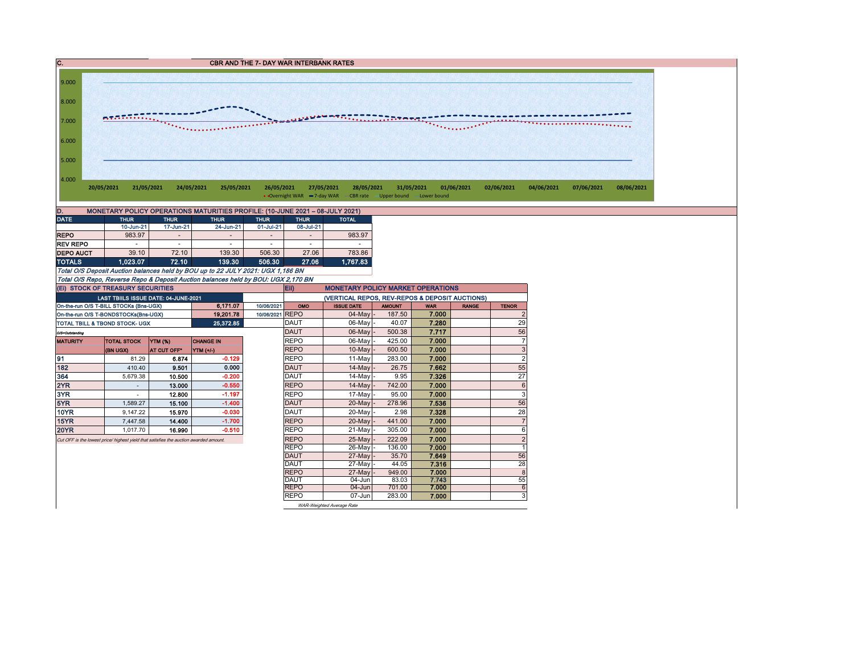C. CBR AND THE 7- DAY WAR INTERBANK RATES



| D.<br>MONETARY POLICY OPERATIONS MATURITIES PROFILE: (10-JUNE 2021 - 08-JULY 2021) |             |                          |                          |                          |                          |              |  |  |  |  |  |  |  |
|------------------------------------------------------------------------------------|-------------|--------------------------|--------------------------|--------------------------|--------------------------|--------------|--|--|--|--|--|--|--|
| <b>DATE</b>                                                                        | <b>THUR</b> | <b>THUR</b>              | <b>THUR</b>              | <b>THUR</b>              | <b>THUR</b>              | <b>TOTAL</b> |  |  |  |  |  |  |  |
|                                                                                    | 10-Jun-21   | 17-Jun-21                | 24-Jun-21                | 01-Jul-21                | 08-Jul-21                |              |  |  |  |  |  |  |  |
| <b>REPO</b>                                                                        | 983.97      | $\overline{\phantom{a}}$ | -                        | $\overline{\phantom{a}}$ | $\overline{\phantom{a}}$ | 983.97       |  |  |  |  |  |  |  |
| <b>REV REPO</b>                                                                    | ۰           | -                        | $\overline{\phantom{a}}$ | ۰                        | $\overline{\phantom{a}}$ | -            |  |  |  |  |  |  |  |
| <b>DEPO AUCT</b>                                                                   | 39.10       | 72.10                    | 139.30                   | 506.30                   | 27.06                    | 783.86       |  |  |  |  |  |  |  |
| <b>TOTALS</b>                                                                      | 1.023.07    | 72.10                    | 139.30                   | 506.30                   | 27.06                    | 1.767.83     |  |  |  |  |  |  |  |

Total O/S Deposit Auction balances held by BOU up to 22 JULY 2021: UGX 1,186 BN Total O/S Repo, Reverse Repo & Deposit Auction balances held by BOU: UGX 2,170 BN (Ei) STOCK OF TREASURY SECURITIES

| (EI) STOCK OF TREASURY SECURITIES         |                                                                                       |                 |                  |            |                                                | Eii)<br><b>MONETARY POLICY MARKET OPERATIONS</b> |               |                |              |                 |  |  |  |  |
|-------------------------------------------|---------------------------------------------------------------------------------------|-----------------|------------------|------------|------------------------------------------------|--------------------------------------------------|---------------|----------------|--------------|-----------------|--|--|--|--|
|                                           | LAST TBIILS ISSUE DATE: 04-JUNE-2021                                                  |                 |                  |            | (VERTICAL REPOS, REV-REPOS & DEPOSIT AUCTIONS) |                                                  |               |                |              |                 |  |  |  |  |
|                                           | On-the-run O/S T-BILL STOCKs (Bns-UGX)                                                |                 | 6,171.07         | 10/06/2021 | OMO                                            | <b>ISSUE DATE</b>                                | <b>AMOUNT</b> | <b>WAR</b>     | <b>RANGE</b> | <b>TENOR</b>    |  |  |  |  |
| On-the-run O/S T-BONDSTOCKs(Bns-UGX)      |                                                                                       | 10/06/2021 REPO |                  | 04-May     | 187.50                                         | 7.000                                            |               | $\overline{2}$ |              |                 |  |  |  |  |
| <b>TOTAL TBILL &amp; TBOND STOCK- UGX</b> |                                                                                       |                 | 25,372.85        |            | DAUT                                           | 06-May -                                         | 40.07         | 7.280          |              | 29              |  |  |  |  |
| O/S=Outstanding                           |                                                                                       |                 |                  |            | <b>DAUT</b>                                    | 06-May                                           | 500.38        | 7.717          |              | 56              |  |  |  |  |
| <b>MATURITY</b>                           | <b>TOTAL STOCK</b>                                                                    | <b>YTM (%)</b>  | <b>CHANGE IN</b> |            | <b>REPO</b>                                    | 06-May -                                         | 425.00        | 7.000          |              | $\overline{7}$  |  |  |  |  |
|                                           | (BN UGX)                                                                              | AT CUT OFF*     | YTM (+/-)        |            | <b>REPO</b>                                    | $10$ -May                                        | 600.50        | 7.000          |              | 3               |  |  |  |  |
| 91                                        | 81.29                                                                                 | 6.874           | $-0.129$         |            | <b>REPO</b>                                    | 11-May                                           | 283.00        | 7.000          |              | $\overline{2}$  |  |  |  |  |
| 182                                       | 410.40                                                                                | 9.501           | 0.000            |            | <b>DAUT</b>                                    | $14$ -May                                        | 26.75         | 7.662          |              | 55              |  |  |  |  |
| 364                                       | 5.679.38                                                                              | 10.500          | -0.200           |            | <b>DAUT</b>                                    | $14$ -May -                                      | 9.95          | 7.326          |              | 27              |  |  |  |  |
| 2YR                                       |                                                                                       | 13.000          | $-0.550$         |            | <b>REPO</b>                                    | 14-May                                           | 742.00        | 7.000          |              | $6\phantom{1}6$ |  |  |  |  |
| 3YR                                       |                                                                                       | 12.800          | $-1.197$         |            | <b>REPO</b>                                    | 17-Mayl-                                         | 95.00         | 7.000          |              | 3               |  |  |  |  |
| 5YR                                       | 1.589.27                                                                              | 15.100          | $-1.400$         |            | <b>DAUT</b>                                    | 20-May                                           | 278.96        | 7.536          |              | 56              |  |  |  |  |
| <b>10YR</b>                               | 9.147.22                                                                              | 15.970          | $-0.030$         |            | DAUT                                           | 20-May -                                         | 2.98          | 7.328          |              | 28              |  |  |  |  |
| 15YR                                      | 7,447.58                                                                              | 14.400          | $-1.700$         |            | <b>REPO</b>                                    | $20$ -May                                        | 441.00        | 7.000          |              | $\overline{7}$  |  |  |  |  |
| <b>20YR</b>                               | 1.017.70                                                                              | 16.990          | $-0.510$         |            | <b>REPO</b>                                    | 21-Mayl-                                         | 305.00        | 7.000          |              | 6               |  |  |  |  |
|                                           | Cut OFF is the lowest price/ highest vield that satisfies the auction awarded amount. |                 |                  |            | <b>REPO</b>                                    | 25-May                                           | 222.09        | 7.000          |              | $\overline{2}$  |  |  |  |  |
|                                           |                                                                                       |                 |                  |            | <b>REPO</b>                                    | 26-May -                                         | 136.00        | 7.000          |              | 1               |  |  |  |  |
|                                           |                                                                                       |                 |                  |            | <b>DAUT</b>                                    | 27-May                                           | 35.70         | 7.649          |              | 56              |  |  |  |  |
|                                           |                                                                                       |                 |                  |            | <b>DAUT</b>                                    | 27-May -                                         | 44.05         | 7.316          |              | 28              |  |  |  |  |
|                                           |                                                                                       |                 |                  |            | <b>REPO</b>                                    | 27-May                                           | 949.00        | 7.000          |              | 8               |  |  |  |  |
|                                           |                                                                                       |                 |                  |            | DAUT                                           | $04 - Jun$                                       | 83.03         | 7.743          |              | 55              |  |  |  |  |
|                                           |                                                                                       |                 |                  |            | <b>REPO</b>                                    | $04 - Jun$                                       | 701.00        | 7.000          |              | 6               |  |  |  |  |
|                                           |                                                                                       |                 |                  |            | <b>REPO</b>                                    | 07-Jun                                           | 283.00        | 7.000          |              | 3               |  |  |  |  |
|                                           |                                                                                       |                 |                  |            |                                                | WAR-Weighted Average Rate                        |               |                |              |                 |  |  |  |  |